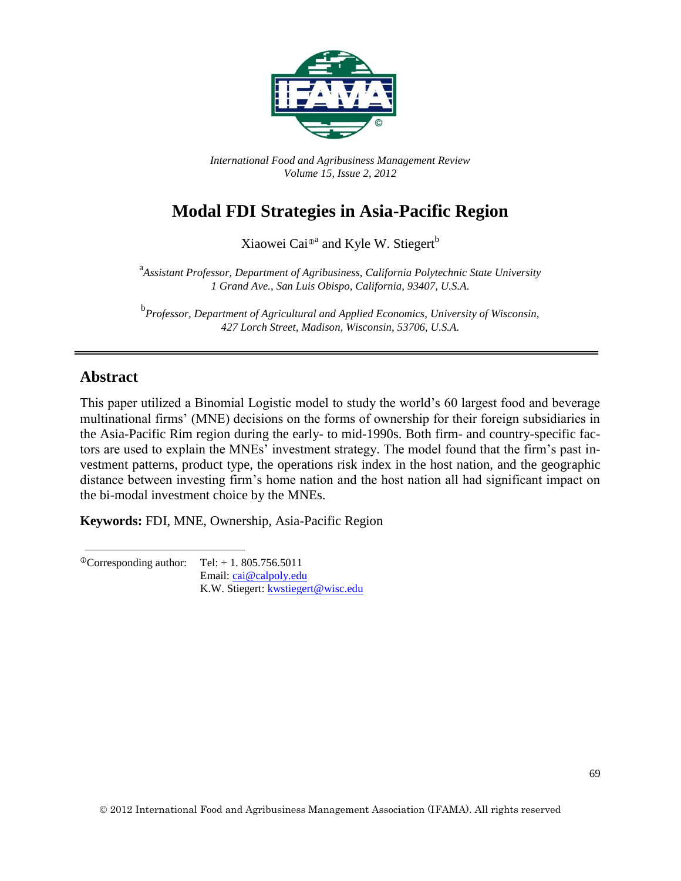

*International Food and Agribusiness Management Review Volume 15, Issue 2, 2012*

# **Modal FDI Strategies in Asia-Pacific Region**

Xiaowei Cai<sup>®a</sup> and Kyle W. Stiegert<sup>b</sup>

<sup>a</sup><br>Assistant Professor, Department of Agribusiness, California Polytechnic State University *1 Grand Ave., San Luis Obispo, California, 93407, U.S.A.*

b *Professor, Department of Agricultural and Applied Economics, University of Wisconsin, 427 Lorch Street, Madison, Wisconsin, 53706, U.S.A.*

### **Abstract**

This paper utilized a Binomial Logistic model to study the world's 60 largest food and beverage multinational firms' (MNE) decisions on the forms of ownership for their foreign subsidiaries in the Asia-Pacific Rim region during the early- to mid-1990s. Both firm- and country-specific factors are used to explain the MNEs' investment strategy. The model found that the firm's past investment patterns, product type, the operations risk index in the host nation, and the geographic distance between investing firm's home nation and the host nation all had significant impact on the bi-modal investment choice by the MNEs.

**Keywords:** FDI, MNE, Ownership, Asia-Pacific Region

 $^{\circ}$ Corresponding author: Tel: + 1. 805.756.5011 Email: [cai@calpoly.edu](mailto:cai@calpoly.edu) K.W. Stiegert[: kwstiegert@wisc.edu](mailto:kwstiegert@wisc.edu)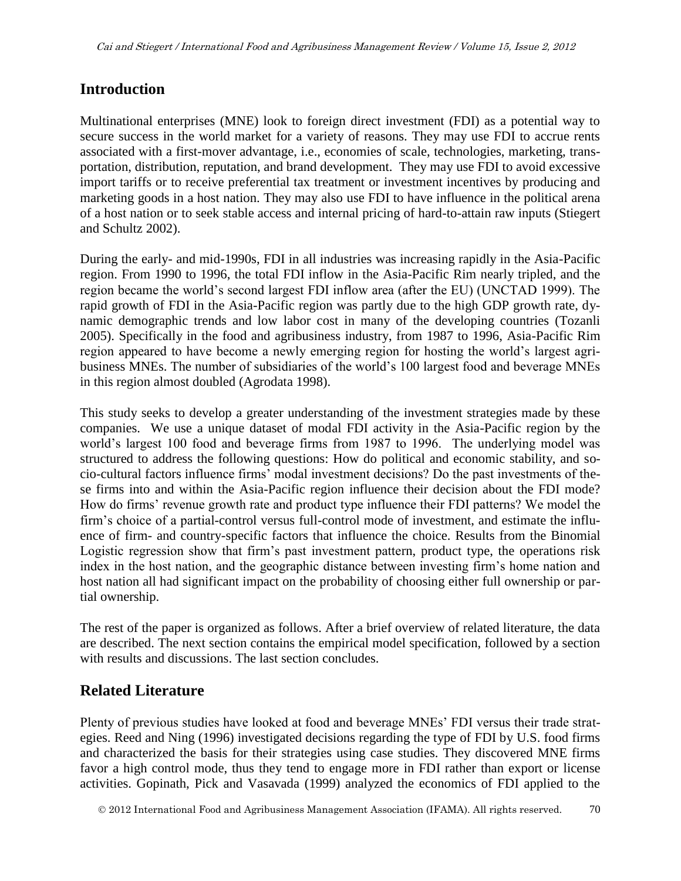### **Introduction**

Multinational enterprises (MNE) look to foreign direct investment (FDI) as a potential way to secure success in the world market for a variety of reasons. They may use FDI to accrue rents associated with a first-mover advantage, i.e., economies of scale, technologies, marketing, transportation, distribution, reputation, and brand development. They may use FDI to avoid excessive import tariffs or to receive preferential tax treatment or investment incentives by producing and marketing goods in a host nation. They may also use FDI to have influence in the political arena of a host nation or to seek stable access and internal pricing of hard-to-attain raw inputs (Stiegert and Schultz 2002).

During the early- and mid-1990s, FDI in all industries was increasing rapidly in the Asia-Pacific region. From 1990 to 1996, the total FDI inflow in the Asia-Pacific Rim nearly tripled, and the region became the world's second largest FDI inflow area (after the EU) (UNCTAD 1999). The rapid growth of FDI in the Asia-Pacific region was partly due to the high GDP growth rate, dynamic demographic trends and low labor cost in many of the developing countries (Tozanli 2005). Specifically in the food and agribusiness industry, from 1987 to 1996, Asia-Pacific Rim region appeared to have become a newly emerging region for hosting the world's largest agribusiness MNEs. The number of subsidiaries of the world's 100 largest food and beverage MNEs in this region almost doubled (Agrodata 1998).

This study seeks to develop a greater understanding of the investment strategies made by these companies. We use a unique dataset of modal FDI activity in the Asia-Pacific region by the world's largest 100 food and beverage firms from 1987 to 1996. The underlying model was structured to address the following questions: How do political and economic stability, and socio-cultural factors influence firms' modal investment decisions? Do the past investments of these firms into and within the Asia-Pacific region influence their decision about the FDI mode? How do firms' revenue growth rate and product type influence their FDI patterns? We model the firm's choice of a partial-control versus full-control mode of investment, and estimate the influence of firm- and country-specific factors that influence the choice. Results from the Binomial Logistic regression show that firm's past investment pattern, product type, the operations risk index in the host nation, and the geographic distance between investing firm's home nation and host nation all had significant impact on the probability of choosing either full ownership or partial ownership.

The rest of the paper is organized as follows. After a brief overview of related literature, the data are described. The next section contains the empirical model specification, followed by a section with results and discussions. The last section concludes.

# **Related Literature**

Plenty of previous studies have looked at food and beverage MNEs' FDI versus their trade strategies. Reed and Ning (1996) investigated decisions regarding the type of FDI by U.S. food firms and characterized the basis for their strategies using case studies. They discovered MNE firms favor a high control mode, thus they tend to engage more in FDI rather than export or license activities. Gopinath, Pick and Vasavada (1999) analyzed the economics of FDI applied to the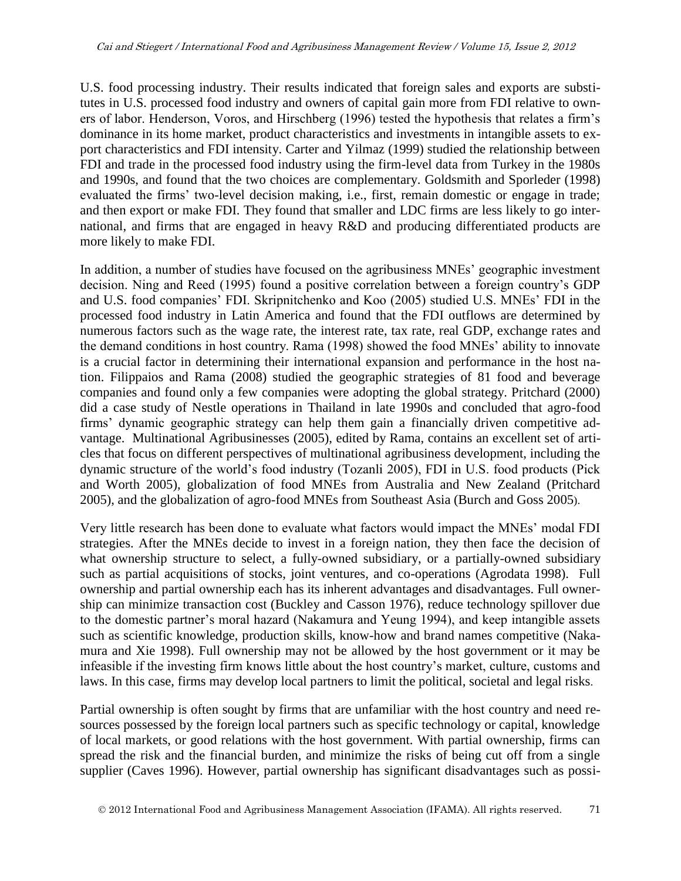U.S. food processing industry. Their results indicated that foreign sales and exports are substitutes in U.S. processed food industry and owners of capital gain more from FDI relative to owners of labor. Henderson, Voros, and Hirschberg (1996) tested the hypothesis that relates a firm's dominance in its home market, product characteristics and investments in intangible assets to export characteristics and FDI intensity. Carter and Yilmaz (1999) studied the relationship between FDI and trade in the processed food industry using the firm-level data from Turkey in the 1980s and 1990s, and found that the two choices are complementary. Goldsmith and Sporleder (1998) evaluated the firms' two-level decision making, i.e., first, remain domestic or engage in trade; and then export or make FDI. They found that smaller and LDC firms are less likely to go international, and firms that are engaged in heavy R&D and producing differentiated products are more likely to make FDI.

In addition, a number of studies have focused on the agribusiness MNEs' geographic investment decision. Ning and Reed (1995) found a positive correlation between a foreign country's GDP and U.S. food companies' FDI. Skripnitchenko and Koo (2005) studied U.S. MNEs' FDI in the processed food industry in Latin America and found that the FDI outflows are determined by numerous factors such as the wage rate, the interest rate, tax rate, real GDP, exchange rates and the demand conditions in host country. Rama (1998) showed the food MNEs' ability to innovate is a crucial factor in determining their international expansion and performance in the host nation. Filippaios and Rama (2008) studied the geographic strategies of 81 food and beverage companies and found only a few companies were adopting the global strategy. Pritchard (2000) did a case study of Nestle operations in Thailand in late 1990s and concluded that agro-food firms' dynamic geographic strategy can help them gain a financially driven competitive advantage. Multinational Agribusinesses (2005), edited by Rama, contains an excellent set of articles that focus on different perspectives of multinational agribusiness development, including the dynamic structure of the world's food industry (Tozanli 2005), FDI in U.S. food products (Pick and Worth 2005), globalization of food MNEs from Australia and New Zealand (Pritchard 2005), and the globalization of agro-food MNEs from Southeast Asia (Burch and Goss 2005).

Very little research has been done to evaluate what factors would impact the MNEs' modal FDI strategies. After the MNEs decide to invest in a foreign nation, they then face the decision of what ownership structure to select, a fully-owned subsidiary, or a partially-owned subsidiary such as partial acquisitions of stocks, joint ventures, and co-operations (Agrodata 1998). Full ownership and partial ownership each has its inherent advantages and disadvantages. Full ownership can minimize transaction cost (Buckley and Casson 1976), reduce technology spillover due to the domestic partner's moral hazard (Nakamura and Yeung 1994), and keep intangible assets such as scientific knowledge, production skills, know-how and brand names competitive (Nakamura and Xie 1998). Full ownership may not be allowed by the host government or it may be infeasible if the investing firm knows little about the host country's market, culture, customs and laws. In this case, firms may develop local partners to limit the political, societal and legal risks.

Partial ownership is often sought by firms that are unfamiliar with the host country and need resources possessed by the foreign local partners such as specific technology or capital, knowledge of local markets, or good relations with the host government. With partial ownership, firms can spread the risk and the financial burden, and minimize the risks of being cut off from a single supplier (Caves 1996). However, partial ownership has significant disadvantages such as possi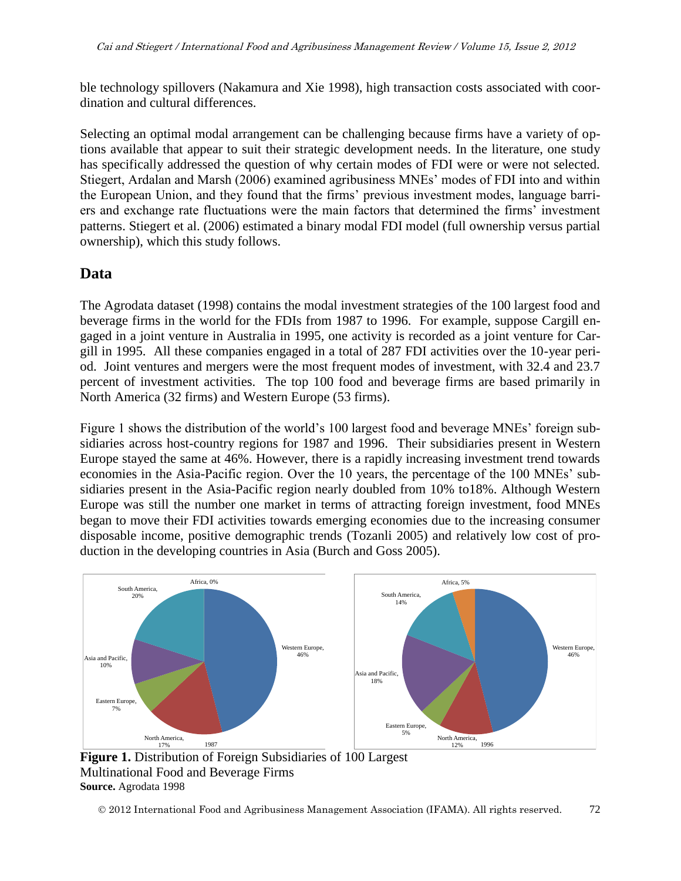ble technology spillovers (Nakamura and Xie 1998), high transaction costs associated with coordination and cultural differences.

Selecting an optimal modal arrangement can be challenging because firms have a variety of options available that appear to suit their strategic development needs. In the literature, one study has specifically addressed the question of why certain modes of FDI were or were not selected. Stiegert, Ardalan and Marsh (2006) examined agribusiness MNEs' modes of FDI into and within the European Union, and they found that the firms' previous investment modes, language barriers and exchange rate fluctuations were the main factors that determined the firms' investment patterns. Stiegert et al. (2006) estimated a binary modal FDI model (full ownership versus partial ownership), which this study follows.

# **Data**

The Agrodata dataset (1998) contains the modal investment strategies of the 100 largest food and beverage firms in the world for the FDIs from 1987 to 1996. For example, suppose Cargill engaged in a joint venture in Australia in 1995, one activity is recorded as a joint venture for Cargill in 1995. All these companies engaged in a total of 287 FDI activities over the 10-year period. Joint ventures and mergers were the most frequent modes of investment, with 32.4 and 23.7 percent of investment activities. The top 100 food and beverage firms are based primarily in North America (32 firms) and Western Europe (53 firms).

Figure 1 shows the distribution of the world's 100 largest food and beverage MNEs' foreign subsidiaries across host-country regions for 1987 and 1996. Their subsidiaries present in Western Europe stayed the same at 46%. However, there is a rapidly increasing investment trend towards economies in the Asia-Pacific region. Over the 10 years, the percentage of the 100 MNEs' subsidiaries present in the Asia-Pacific region nearly doubled from 10% to18%. Although Western Europe was still the number one market in terms of attracting foreign investment, food MNEs began to move their FDI activities towards emerging economies due to the increasing consumer disposable income, positive demographic trends (Tozanli 2005) and relatively low cost of production in the developing countries in Asia (Burch and Goss 2005).



**Figure 1.** Distribution of Foreign Subsidiaries of 100 Largest Multinational Food and Beverage Firms **Source.** Agrodata 1998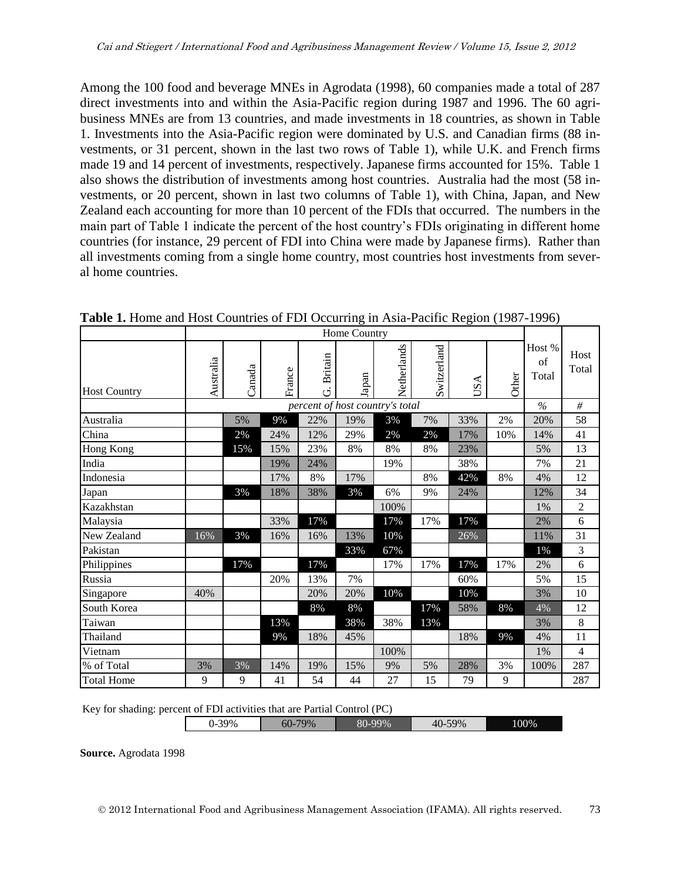Among the 100 food and beverage MNEs in Agrodata (1998), 60 companies made a total of 287 direct investments into and within the Asia-Pacific region during 1987 and 1996. The 60 agribusiness MNEs are from 13 countries, and made investments in 18 countries, as shown in Table 1. Investments into the Asia-Pacific region were dominated by U.S. and Canadian firms (88 investments, or 31 percent, shown in the last two rows of Table 1), while U.K. and French firms made 19 and 14 percent of investments, respectively. Japanese firms accounted for 15%. Table 1 also shows the distribution of investments among host countries. Australia had the most (58 investments, or 20 percent, shown in last two columns of Table 1), with China, Japan, and New Zealand each accounting for more than 10 percent of the FDIs that occurred. The numbers in the main part of Table 1 indicate the percent of the host country's FDIs originating in different home countries (for instance, 29 percent of FDI into China were made by Japanese firms). Rather than all investments coming from a single home country, most countries host investments from several home countries.

|                     |           |        |        |                     | Home Country                    |             |             |                     |       |                       |                |
|---------------------|-----------|--------|--------|---------------------|---------------------------------|-------------|-------------|---------------------|-------|-----------------------|----------------|
| <b>Host Country</b> | Australia | Canada | France | <b>Britain</b><br>ق | Japan                           | Netherlands | Switzerland | ⋖<br>$\overline{S}$ | Other | Host %<br>of<br>Total | Host<br>Total  |
|                     |           |        |        |                     | percent of host country's total |             |             |                     |       | $\frac{0}{6}$         | #              |
| Australia           |           | 5%     | 9%     | 22%                 | 19%                             | 3%          | 7%          | 33%                 | 2%    | 20%                   | 58             |
| China               |           | 2%     | 24%    | 12%                 | 29%                             | 2%          | 2%          | 17%                 | 10%   | 14%                   | 41             |
| Hong Kong           |           | 15%    | 15%    | 23%                 | 8%                              | $8\%$       | 8%          | 23%                 |       | 5%                    | 13             |
| India               |           |        | 19%    | 24%                 |                                 | 19%         |             | 38%                 |       | 7%                    | 21             |
| Indonesia           |           |        | 17%    | 8%                  | 17%                             |             | 8%          | 42%                 | 8%    | 4%                    | 12             |
| Japan               |           | 3%     | 18%    | 38%                 | 3%                              | 6%          | 9%          | 24%                 |       | 12%                   | 34             |
| Kazakhstan          |           |        |        |                     |                                 | 100%        |             |                     |       | 1%                    | $\overline{2}$ |
| Malaysia            |           |        | 33%    | 17%                 |                                 | 17%         | 17%         | 17%                 |       | 2%                    | 6              |
| New Zealand         | 16%       | 3%     | 16%    | 16%                 | 13%                             | 10%         |             | 26%                 |       | 11%                   | 31             |
| Pakistan            |           |        |        |                     | 33%                             | 67%         |             |                     |       | 1%                    | 3              |
| Philippines         |           | 17%    |        | 17%                 |                                 | 17%         | 17%         | 17%                 | 17%   | 2%                    | 6              |
| Russia              |           |        | 20%    | 13%                 | 7%                              |             |             | 60%                 |       | 5%                    | 15             |
| Singapore           | 40%       |        |        | 20%                 | 20%                             | 10%         |             | 10%                 |       | 3%                    | 10             |
| South Korea         |           |        |        | 8%                  | 8%                              |             | 17%         | 58%                 | 8%    | 4%                    | 12             |
| Taiwan              |           |        | 13%    |                     | 38%                             | 38%         | 13%         |                     |       | 3%                    | 8              |
| Thailand            |           |        | 9%     | 18%                 | 45%                             |             |             | 18%                 | 9%    | 4%                    | 11             |
| Vietnam             |           |        |        |                     |                                 | 100%        |             |                     |       | 1%                    | $\overline{4}$ |
| % of Total          | 3%        | 3%     | 14%    | 19%                 | 15%                             | 9%          | 5%          | 28%                 | 3%    | 100%                  | 287            |
| <b>Total Home</b>   | 9         | 9      | 41     | 54                  | 44                              | 27          | 15          | 79                  | 9     |                       | 287            |

**Table 1.** Home and Host Countries of FDI Occurring in Asia-Pacific Region (1987-1996)

Key for shading: percent of FDI activities that are Partial Control (PC)

| bU-<br><br>τv<br>$\sim$ $\sim$ $\sim$ | 39% | 79% | 80-99% | 59%<br>$40-$ | 100% |
|---------------------------------------|-----|-----|--------|--------------|------|
|---------------------------------------|-----|-----|--------|--------------|------|

**Source.** Agrodata 1998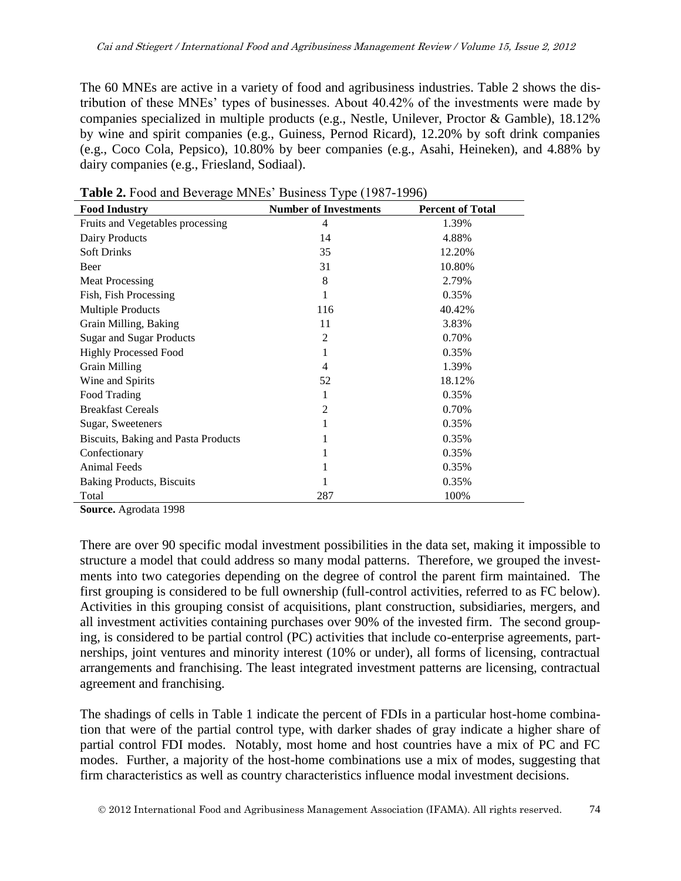The 60 MNEs are active in a variety of food and agribusiness industries. Table 2 shows the distribution of these MNEs' types of businesses. About 40.42% of the investments were made by companies specialized in multiple products (e.g., Nestle, Unilever, Proctor & Gamble), 18.12% by wine and spirit companies (e.g., Guiness, Pernod Ricard), 12.20% by soft drink companies (e.g., Coco Cola, Pepsico), 10.80% by beer companies (e.g., Asahi, Heineken), and 4.88% by dairy companies (e.g., Friesland, Sodiaal).

| <b>Food Industry</b>                | <b>Number of Investments</b> | <b>Percent of Total</b> |
|-------------------------------------|------------------------------|-------------------------|
| Fruits and Vegetables processing    | 4                            | 1.39%                   |
| Dairy Products                      | 14                           | 4.88%                   |
| <b>Soft Drinks</b>                  | 35                           | 12.20%                  |
| Beer                                | 31                           | 10.80%                  |
| <b>Meat Processing</b>              | 8                            | 2.79%                   |
| Fish, Fish Processing               | 1                            | 0.35%                   |
| <b>Multiple Products</b>            | 116                          | 40.42%                  |
| Grain Milling, Baking               | 11                           | 3.83%                   |
| <b>Sugar and Sugar Products</b>     | $\overline{2}$               | 0.70%                   |
| <b>Highly Processed Food</b>        | 1                            | 0.35%                   |
| <b>Grain Milling</b>                | 4                            | 1.39%                   |
| Wine and Spirits                    | 52                           | 18.12%                  |
| Food Trading                        | 1                            | 0.35%                   |
| <b>Breakfast Cereals</b>            | $\overline{2}$               | 0.70%                   |
| Sugar, Sweeteners                   | 1                            | 0.35%                   |
| Biscuits, Baking and Pasta Products | 1                            | 0.35%                   |
| Confectionary                       | 1                            | 0.35%                   |
| <b>Animal Feeds</b>                 | 1                            | 0.35%                   |
| <b>Baking Products, Biscuits</b>    |                              | 0.35%                   |
| Total<br>$\sim$ $\sim$ $\sim$       | 287                          | 100%                    |

**Table 2.** Food and Beverage MNEs' Business Type (1987-1996)

**Source.** Agrodata 1998

There are over 90 specific modal investment possibilities in the data set, making it impossible to structure a model that could address so many modal patterns. Therefore, we grouped the investments into two categories depending on the degree of control the parent firm maintained. The first grouping is considered to be full ownership (full-control activities, referred to as FC below). Activities in this grouping consist of acquisitions, plant construction, subsidiaries, mergers, and all investment activities containing purchases over 90% of the invested firm. The second grouping, is considered to be partial control (PC) activities that include co-enterprise agreements, partnerships, joint ventures and minority interest (10% or under), all forms of licensing, contractual arrangements and franchising. The least integrated investment patterns are licensing, contractual agreement and franchising.

The shadings of cells in Table 1 indicate the percent of FDIs in a particular host-home combination that were of the partial control type, with darker shades of gray indicate a higher share of partial control FDI modes. Notably, most home and host countries have a mix of PC and FC modes. Further, a majority of the host-home combinations use a mix of modes, suggesting that firm characteristics as well as country characteristics influence modal investment decisions.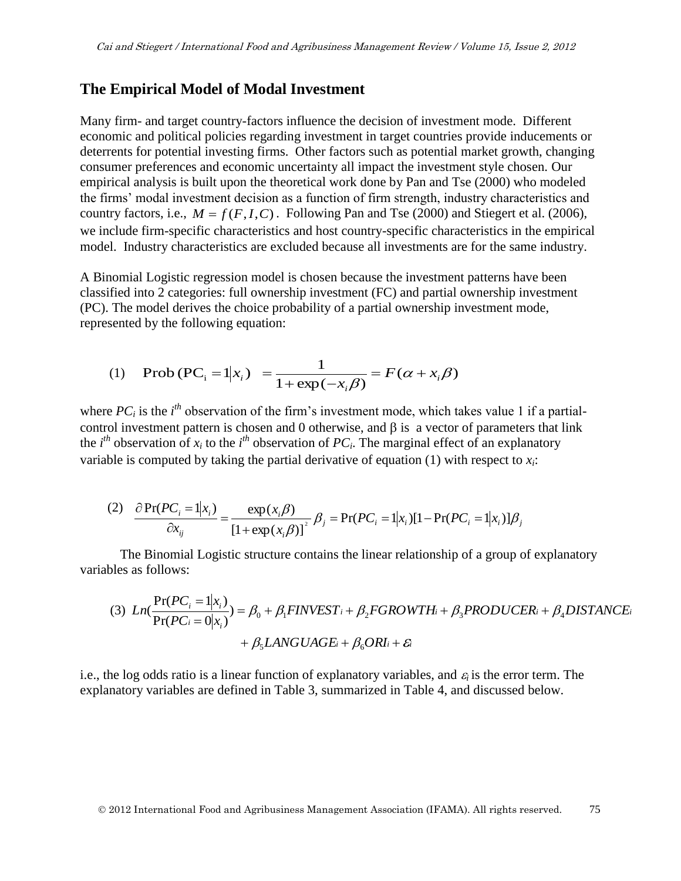#### **The Empirical Model of Modal Investment**

Many firm- and target country-factors influence the decision of investment mode. Different economic and political policies regarding investment in target countries provide inducements or deterrents for potential investing firms. Other factors such as potential market growth, changing consumer preferences and economic uncertainty all impact the investment style chosen. Our empirical analysis is built upon the theoretical work done by Pan and Tse (2000) who modeled the firms' modal investment decision as a function of firm strength, industry characteristics and country factors, i.e.,  $M = f(F, I, C)$ . Following Pan and Tse (2000) and Stiegert et al. (2006), we include firm-specific characteristics and host country-specific characteristics in the empirical model. Industry characteristics are excluded because all investments are for the same industry.

A Binomial Logistic regression model is chosen because the investment patterns have been classified into 2 categories: full ownership investment (FC) and partial ownership investment (PC). The model derives the choice probability of a partial ownership investment mode, represented by the following equation:

(1) Prob
$$
(PC_i = 1 | x_i)
$$
 =  $\frac{1}{1 + \exp(-x_i \beta)}$  =  $F(\alpha + x_i \beta)$ 

where  $PC_i$  is the  $i<sup>th</sup>$  observation of the firm's investment mode, which takes value 1 if a partialcontrol investment pattern is chosen and 0 otherwise, and  $\beta$  is a vector of parameters that link the  $i^{th}$  observation of  $x_i$  to the  $i^{th}$  observation of  $PC_i$ . The marginal effect of an explanatory variable is computed by taking the partial derivative of equation (1) with respect to  $x_i$ :

(2) 
$$
\frac{\partial \Pr(PC_i = 1 | x_i)}{\partial x_{ij}} = \frac{\exp(x_i \beta)}{[1 + \exp(x_i \beta)]^2} \beta_j = \Pr(PC_i = 1 | x_i) [1 - \Pr(PC_i = 1 | x_i)] \beta_j
$$

The Binomial Logistic structure contains the linear relationship of a group of explanatory variables as follows:

(3) 
$$
Ln(\frac{Pr(PC_i = 1|x_i)}{Pr(PC_i = 0|x_i)}) = \beta_0 + \beta_1 FINVEST_i + \beta_2FGROWTH_i + \beta_3PRODUCER_i + \beta_4DISTANCE_i
$$
  
+  $\beta_5LANGUAGE_i + \beta_6ORI_i + \mathcal{E}_i$ 

i.e., the log odds ratio is a linear function of explanatory variables, and  $\varepsilon_i$  is the error term. The explanatory variables are defined in Table 3, summarized in Table 4, and discussed below.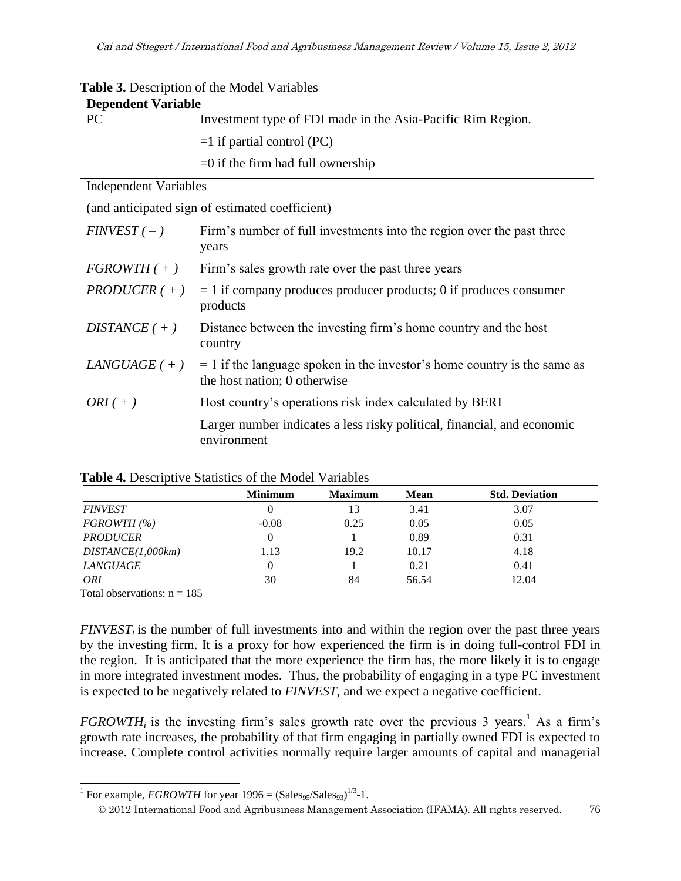| <b>Table 3.</b> Description of the Model Variables |                                                                                                            |  |  |  |
|----------------------------------------------------|------------------------------------------------------------------------------------------------------------|--|--|--|
| <b>Dependent Variable</b>                          |                                                                                                            |  |  |  |
| PC                                                 | Investment type of FDI made in the Asia-Pacific Rim Region.                                                |  |  |  |
|                                                    | $=1$ if partial control (PC)                                                                               |  |  |  |
|                                                    | $=0$ if the firm had full ownership                                                                        |  |  |  |
| <b>Independent Variables</b>                       |                                                                                                            |  |  |  |
|                                                    | (and anticipated sign of estimated coefficient)                                                            |  |  |  |
| $FINVEST(-)$                                       | Firm's number of full investments into the region over the past three<br>years                             |  |  |  |
| $FGROWTH(+)$                                       | Firm's sales growth rate over the past three years                                                         |  |  |  |
| $PRODUCER (+)$                                     | $= 1$ if company produces producer products; 0 if produces consumer<br>products                            |  |  |  |
| DISTANCE $(+)$                                     | Distance between the investing firm's home country and the host<br>country                                 |  |  |  |
| $LANGUAGE$ ( + )                                   | $= 1$ if the language spoken in the investor's home country is the same as<br>the host nation; 0 otherwise |  |  |  |
| $ORI(+)$                                           | Host country's operations risk index calculated by BERI                                                    |  |  |  |
|                                                    | Larger number indicates a less risky political, financial, and economic<br>environment                     |  |  |  |
|                                                    |                                                                                                            |  |  |  |

|                   | <b>Minimum</b> | <b>Maximum</b> | <b>Mean</b> | <b>Std. Deviation</b> |
|-------------------|----------------|----------------|-------------|-----------------------|
| <b>FINVEST</b>    |                | 13             | 3.41        | 3.07                  |
| FGROWTH (%)       | $-0.08$        | 0.25           | 0.05        | 0.05                  |
| <b>PRODUCER</b>   |                |                | 0.89        | 0.31                  |
| DISTANCE(1,000km) | 1.13           | 19.2           | 10.17       | 4.18                  |
| LANGUAGE          |                |                | 0.21        | 0.41                  |
| <b>ORI</b>        | 30             | 84             | 56.54       | 12.04                 |

#### **Table 4.** Descriptive Statistics of the Model Variables

Total observations:  $n = 185$ 

 $\overline{a}$ 

*FINVEST<sub>i</sub>* is the number of full investments into and within the region over the past three years by the investing firm. It is a proxy for how experienced the firm is in doing full-control FDI in the region. It is anticipated that the more experience the firm has, the more likely it is to engage in more integrated investment modes. Thus, the probability of engaging in a type PC investment is expected to be negatively related to *FINVEST*, and we expect a negative coefficient.

*FGROWTH<sub>i</sub>* is the investing firm's sales growth rate over the previous 3 years.<sup>1</sup> As a firm's growth rate increases, the probability of that firm engaging in partially owned FDI is expected to increase. Complete control activities normally require larger amounts of capital and managerial

<sup>&</sup>lt;sup>1</sup> For example, *FGROWTH* for year  $1996 = (Sales_{95}/Sales_{93})^{1/3}$ -1.

2012 International Food and Agribusiness Management Association (IFAMA). All rights reserved. 76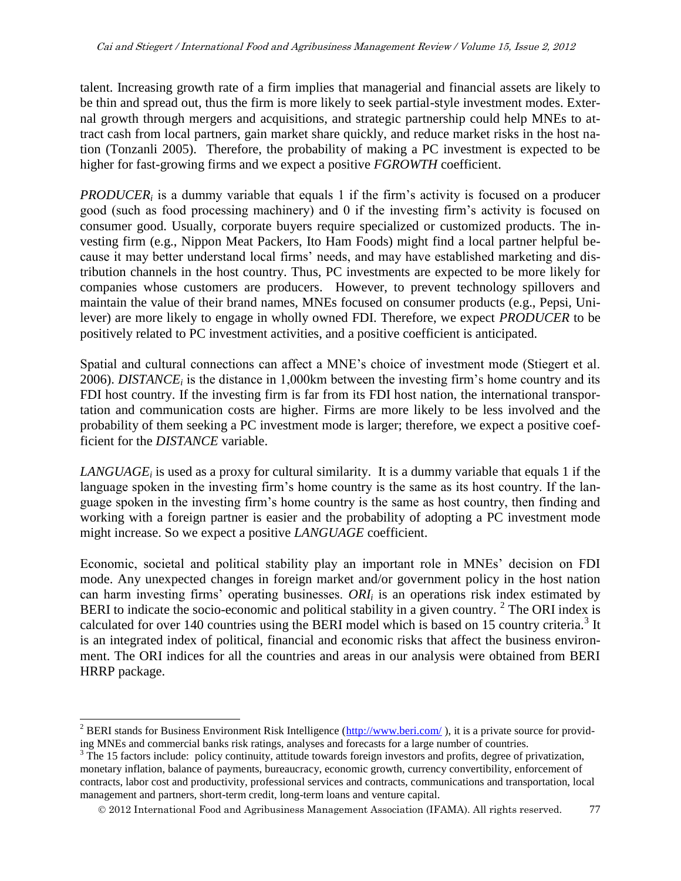talent. Increasing growth rate of a firm implies that managerial and financial assets are likely to be thin and spread out, thus the firm is more likely to seek partial-style investment modes. External growth through mergers and acquisitions, and strategic partnership could help MNEs to attract cash from local partners, gain market share quickly, and reduce market risks in the host nation (Tonzanli 2005). Therefore, the probability of making a PC investment is expected to be higher for fast-growing firms and we expect a positive *FGROWTH* coefficient.

*PRODUCER<sub>i</sub>* is a dummy variable that equals 1 if the firm's activity is focused on a producer good (such as food processing machinery) and 0 if the investing firm's activity is focused on consumer good. Usually, corporate buyers require specialized or customized products. The investing firm (e.g., Nippon Meat Packers, Ito Ham Foods) might find a local partner helpful because it may better understand local firms' needs, and may have established marketing and distribution channels in the host country. Thus, PC investments are expected to be more likely for companies whose customers are producers. However, to prevent technology spillovers and maintain the value of their brand names, MNEs focused on consumer products (e.g., Pepsi, Unilever) are more likely to engage in wholly owned FDI. Therefore, we expect *PRODUCER* to be positively related to PC investment activities, and a positive coefficient is anticipated.

Spatial and cultural connections can affect a MNE's choice of investment mode (Stiegert et al. 2006). *DISTANCE<sup>i</sup>* is the distance in 1,000km between the investing firm's home country and its FDI host country. If the investing firm is far from its FDI host nation, the international transportation and communication costs are higher. Firms are more likely to be less involved and the probability of them seeking a PC investment mode is larger; therefore, we expect a positive coefficient for the *DISTANCE* variable.

*LANGUAGE<sup>i</sup>* is used as a proxy for cultural similarity. It is a dummy variable that equals 1 if the language spoken in the investing firm's home country is the same as its host country. If the language spoken in the investing firm's home country is the same as host country, then finding and working with a foreign partner is easier and the probability of adopting a PC investment mode might increase. So we expect a positive *LANGUAGE* coefficient.

Economic, societal and political stability play an important role in MNEs' decision on FDI mode. Any unexpected changes in foreign market and/or government policy in the host nation can harm investing firms' operating businesses. *ORI<sup>i</sup>* is an operations risk index estimated by BERI to indicate the socio-economic and political stability in a given country.  $2$  The ORI index is calculated for over 140 countries using the BERI model which is based on 15 country criteria.<sup>3</sup> It is an integrated index of political, financial and economic risks that affect the business environment. The ORI indices for all the countries and areas in our analysis were obtained from BERI HRRP package.

 $\overline{a}$ 

<sup>&</sup>lt;sup>2</sup> BERI stands for Business Environment Risk Intelligence [\(http://www.beri.com/](http://www.beri.com/)), it is a private source for providing MNEs and commercial banks risk ratings, analyses and forecasts for a large number of countries.

<sup>&</sup>lt;sup>3</sup> The 15 factors include: policy continuity, attitude towards foreign investors and profits, degree of privatization, monetary inflation, balance of payments, bureaucracy, economic growth, currency convertibility, enforcement of contracts, labor cost and productivity, professional services and contracts, communications and transportation, local management and partners, short-term credit, long-term loans and venture capital.

2012 International Food and Agribusiness Management Association (IFAMA). All rights reserved. 77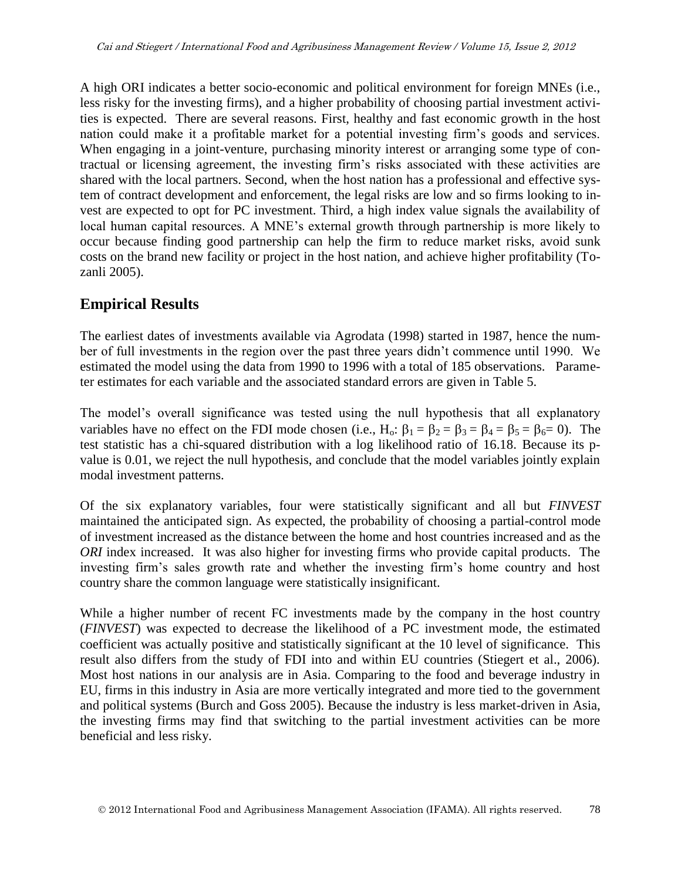A high ORI indicates a better socio-economic and political environment for foreign MNEs (i.e., less risky for the investing firms), and a higher probability of choosing partial investment activities is expected. There are several reasons. First, healthy and fast economic growth in the host nation could make it a profitable market for a potential investing firm's goods and services. When engaging in a joint-venture, purchasing minority interest or arranging some type of contractual or licensing agreement, the investing firm's risks associated with these activities are shared with the local partners. Second, when the host nation has a professional and effective system of contract development and enforcement, the legal risks are low and so firms looking to invest are expected to opt for PC investment. Third, a high index value signals the availability of local human capital resources. A MNE's external growth through partnership is more likely to occur because finding good partnership can help the firm to reduce market risks, avoid sunk costs on the brand new facility or project in the host nation, and achieve higher profitability (Tozanli 2005).

# **Empirical Results**

The earliest dates of investments available via Agrodata (1998) started in 1987, hence the number of full investments in the region over the past three years didn't commence until 1990. We estimated the model using the data from 1990 to 1996 with a total of 185 observations. Parameter estimates for each variable and the associated standard errors are given in Table 5.

The model's overall significance was tested using the null hypothesis that all explanatory variables have no effect on the FDI mode chosen (i.e., H<sub>o</sub>:  $\beta_1 = \beta_2 = \beta_3 = \beta_4 = \beta_5 = \beta_6 = 0$ ). The test statistic has a chi-squared distribution with a log likelihood ratio of 16.18. Because its pvalue is 0.01, we reject the null hypothesis, and conclude that the model variables jointly explain modal investment patterns.

Of the six explanatory variables, four were statistically significant and all but *FINVEST* maintained the anticipated sign. As expected, the probability of choosing a partial-control mode of investment increased as the distance between the home and host countries increased and as the *ORI* index increased. It was also higher for investing firms who provide capital products. The investing firm's sales growth rate and whether the investing firm's home country and host country share the common language were statistically insignificant.

While a higher number of recent FC investments made by the company in the host country (*FINVEST*) was expected to decrease the likelihood of a PC investment mode, the estimated coefficient was actually positive and statistically significant at the 10 level of significance. This result also differs from the study of FDI into and within EU countries (Stiegert et al., 2006). Most host nations in our analysis are in Asia. Comparing to the food and beverage industry in EU, firms in this industry in Asia are more vertically integrated and more tied to the government and political systems (Burch and Goss 2005). Because the industry is less market-driven in Asia, the investing firms may find that switching to the partial investment activities can be more beneficial and less risky.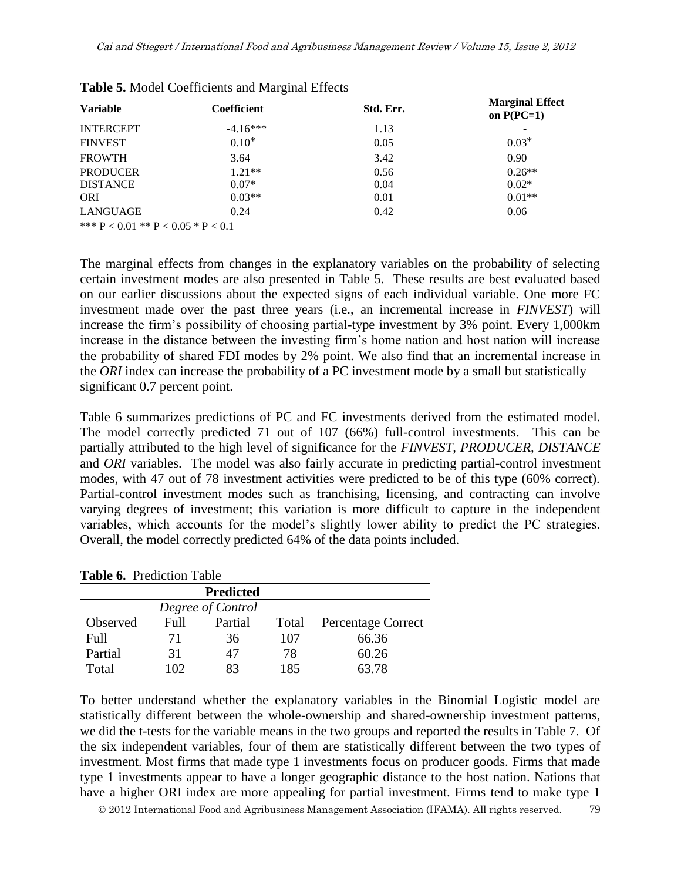| <b>Variable</b>  | <b>Coefficient</b> | Std. Err. | <b>Marginal Effect</b><br>on $P(PC=1)$ |
|------------------|--------------------|-----------|----------------------------------------|
| <b>INTERCEPT</b> | $-4.16***$         | 1.13      | -                                      |
| <b>FINVEST</b>   | $0.10*$            | 0.05      | $0.03*$                                |
| <b>FROWTH</b>    | 3.64               | 3.42      | 0.90                                   |
| <b>PRODUCER</b>  | $1.21**$           | 0.56      | $0.26**$                               |
| <b>DISTANCE</b>  | $0.07*$            | 0.04      | $0.02*$                                |
| <b>ORI</b>       | $0.03**$           | 0.01      | $0.01**$                               |
| LANGUAGE         | 0.24               | 0.42      | 0.06                                   |

**Table 5.** Model Coefficients and Marginal Effects

\*\*\*  $P < 0.01$  \*\*  $P < 0.05$  \*  $P < 0.1$ 

The marginal effects from changes in the explanatory variables on the probability of selecting certain investment modes are also presented in Table 5. These results are best evaluated based on our earlier discussions about the expected signs of each individual variable. One more FC investment made over the past three years (i.e., an incremental increase in *FINVEST*) will increase the firm's possibility of choosing partial-type investment by 3% point. Every 1,000km increase in the distance between the investing firm's home nation and host nation will increase the probability of shared FDI modes by 2% point. We also find that an incremental increase in the *ORI* index can increase the probability of a PC investment mode by a small but statistically significant 0.7 percent point.

Table 6 summarizes predictions of PC and FC investments derived from the estimated model. The model correctly predicted 71 out of 107 (66%) full-control investments. This can be partially attributed to the high level of significance for the *FINVEST, PRODUCER, DISTANCE* and *ORI* variables. The model was also fairly accurate in predicting partial-control investment modes, with 47 out of 78 investment activities were predicted to be of this type (60% correct). Partial-control investment modes such as franchising, licensing, and contracting can involve varying degrees of investment; this variation is more difficult to capture in the independent variables, which accounts for the model's slightly lower ability to predict the PC strategies. Overall, the model correctly predicted 64% of the data points included.

| <b>Table 6.</b> Prediction Table |       |                   |       |                           |  |
|----------------------------------|-------|-------------------|-------|---------------------------|--|
| <b>Predicted</b>                 |       |                   |       |                           |  |
|                                  |       | Degree of Control |       |                           |  |
| Observed                         | Full. | Partial           | Total | <b>Percentage Correct</b> |  |
| Full                             | 71    | 36                | 107   | 66.36                     |  |
| Partial                          | 31    | 47                | 78    | 60.26                     |  |
| Total                            | 102   | 83                | 185   | 63.78                     |  |

**Table 6.** Prediction Table

To better understand whether the explanatory variables in the Binomial Logistic model are statistically different between the whole-ownership and shared-ownership investment patterns, we did the t-tests for the variable means in the two groups and reported the results in Table 7. Of the six independent variables, four of them are statistically different between the two types of investment. Most firms that made type 1 investments focus on producer goods. Firms that made type 1 investments appear to have a longer geographic distance to the host nation. Nations that have a higher ORI index are more appealing for partial investment. Firms tend to make type 1

2012 International Food and Agribusiness Management Association (IFAMA). All rights reserved. 79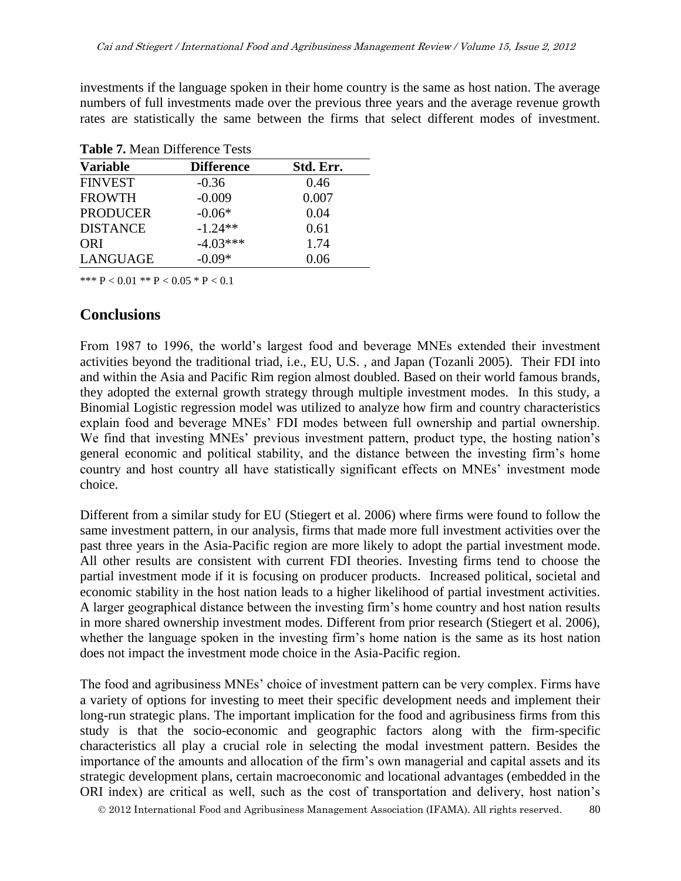investments if the language spoken in their home country is the same as host nation. The average numbers of full investments made over the previous three years and the average revenue growth rates are statistically the same between the firms that select different modes of investment.

| <b>Table 7.</b> Mean Difference Tests |                   |           |  |  |  |
|---------------------------------------|-------------------|-----------|--|--|--|
| <b>Variable</b>                       | <b>Difference</b> | Std. Err. |  |  |  |
| <b>FINVEST</b>                        | $-0.36$           | 0.46      |  |  |  |
| <b>FROWTH</b>                         | $-0.009$          | 0.007     |  |  |  |
| <b>PRODUCER</b>                       | $-0.06*$          | 0.04      |  |  |  |
| <b>DISTANCE</b>                       | $-1.24**$         | 0.61      |  |  |  |
| <b>ORI</b>                            | $-4.03***$        | 1.74      |  |  |  |
| LANGUAGE                              | $-0.09*$          | 0.06      |  |  |  |

**Table 7.** Mean Difference Tests

\*\*\*  $P < 0.01$  \*\*  $P < 0.05$  \*  $P < 0.1$ 

### **Conclusions**

From 1987 to 1996, the world's largest food and beverage MNEs extended their investment activities beyond the traditional triad, i.e., EU, U.S. , and Japan (Tozanli 2005). Their FDI into and within the Asia and Pacific Rim region almost doubled. Based on their world famous brands, they adopted the external growth strategy through multiple investment modes. In this study, a Binomial Logistic regression model was utilized to analyze how firm and country characteristics explain food and beverage MNEs' FDI modes between full ownership and partial ownership. We find that investing MNEs' previous investment pattern, product type, the hosting nation's general economic and political stability, and the distance between the investing firm's home country and host country all have statistically significant effects on MNEs' investment mode choice.

Different from a similar study for EU (Stiegert et al. 2006) where firms were found to follow the same investment pattern, in our analysis, firms that made more full investment activities over the past three years in the Asia-Pacific region are more likely to adopt the partial investment mode. All other results are consistent with current FDI theories. Investing firms tend to choose the partial investment mode if it is focusing on producer products. Increased political, societal and economic stability in the host nation leads to a higher likelihood of partial investment activities. A larger geographical distance between the investing firm's home country and host nation results in more shared ownership investment modes. Different from prior research (Stiegert et al. 2006), whether the language spoken in the investing firm's home nation is the same as its host nation does not impact the investment mode choice in the Asia-Pacific region.

The food and agribusiness MNEs' choice of investment pattern can be very complex. Firms have a variety of options for investing to meet their specific development needs and implement their long-run strategic plans. The important implication for the food and agribusiness firms from this study is that the socio-economic and geographic factors along with the firm-specific characteristics all play a crucial role in selecting the modal investment pattern. Besides the importance of the amounts and allocation of the firm's own managerial and capital assets and its strategic development plans, certain macroeconomic and locational advantages (embedded in the ORI index) are critical as well, such as the cost of transportation and delivery, host nation's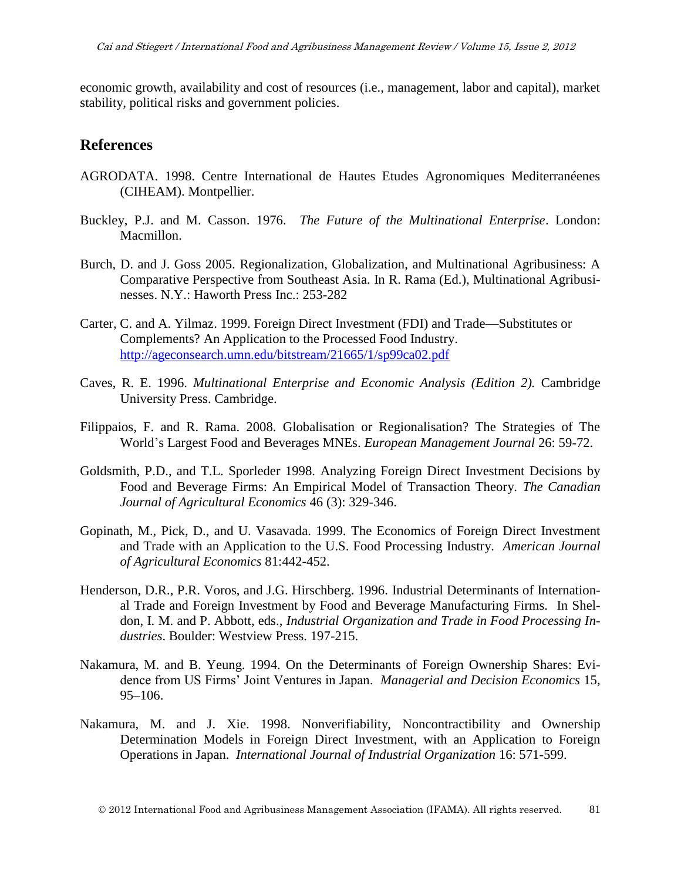economic growth, availability and cost of resources (i.e., management, labor and capital), market stability, political risks and government policies.

### **References**

- AGRODATA. 1998. Centre International de Hautes Etudes Agronomiques Mediterranéenes (CIHEAM). Montpellier.
- Buckley, P.J. and M. Casson. 1976. *The Future of the Multinational Enterprise*. London: Macmillon.
- Burch, D. and J. Goss 2005. Regionalization, Globalization, and Multinational Agribusiness: A Comparative Perspective from Southeast Asia. In R. Rama (Ed.), Multinational Agribusinesses. N.Y.: Haworth Press Inc.: 253-282
- Carter, C. and A. Yilmaz. 1999. Foreign Direct Investment (FDI) and Trade—Substitutes or Complements? An Application to the Processed Food Industry. <http://ageconsearch.umn.edu/bitstream/21665/1/sp99ca02.pdf>
- Caves, R. E. 1996. *Multinational Enterprise and Economic Analysis (Edition 2).* Cambridge University Press. Cambridge.
- Filippaios, F. and R. Rama. 2008. Globalisation or Regionalisation? The Strategies of The World's Largest Food and Beverages MNEs. *European Management Journal* 26: 59-72.
- Goldsmith, P.D., and T.L. Sporleder 1998. Analyzing Foreign Direct Investment Decisions by Food and Beverage Firms: An Empirical Model of Transaction Theory. *The Canadian Journal of Agricultural Economics* 46 (3): 329-346.
- Gopinath, M., Pick, D., and U. Vasavada. 1999. The Economics of Foreign Direct Investment and Trade with an Application to the U.S. Food Processing Industry. *American Journal of Agricultural Economics* 81:442-452.
- Henderson, D.R., P.R. Voros, and J.G. Hirschberg. 1996. Industrial Determinants of International Trade and Foreign Investment by Food and Beverage Manufacturing Firms. In Sheldon, I. M. and P. Abbott, eds., *Industrial Organization and Trade in Food Processing Industries*. Boulder: Westview Press. 197-215.
- Nakamura, M. and B. Yeung. 1994. On the Determinants of Foreign Ownership Shares: Evidence from US Firms' Joint Ventures in Japan. *Managerial and Decision Economics* 15, 95–106.
- Nakamura, M. and J. Xie. 1998. Nonverifiability, Noncontractibility and Ownership Determination Models in Foreign Direct Investment, with an Application to Foreign Operations in Japan. *International Journal of Industrial Organization* 16: 571-599.